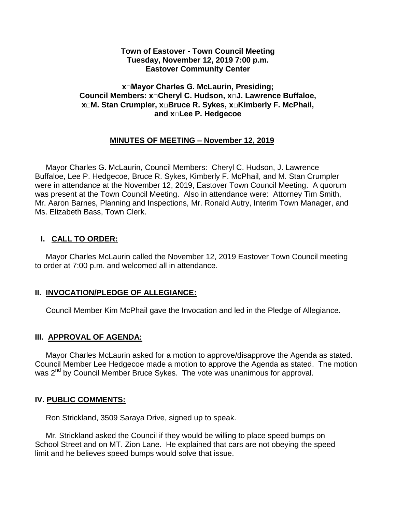#### **Town of Eastover - Town Council Meeting Tuesday, November 12, 2019 7:00 p.m. Eastover Community Center**

### **x□Mayor Charles G. McLaurin, Presiding; Council Members: x□Cheryl C. Hudson, x□J. Lawrence Buffaloe, x□M. Stan Crumpler, x□Bruce R. Sykes, x□Kimberly F. McPhail, and x□Lee P. Hedgecoe**

## **MINUTES OF MEETING – November 12, 2019**

 Mayor Charles G. McLaurin, Council Members: Cheryl C. Hudson, J. Lawrence Buffaloe, Lee P. Hedgecoe, Bruce R. Sykes, Kimberly F. McPhail, and M. Stan Crumpler were in attendance at the November 12, 2019, Eastover Town Council Meeting. A quorum was present at the Town Council Meeting. Also in attendance were: Attorney Tim Smith, Mr. Aaron Barnes, Planning and Inspections, Mr. Ronald Autry, Interim Town Manager, and Ms. Elizabeth Bass, Town Clerk.

## **I. CALL TO ORDER:**

 Mayor Charles McLaurin called the November 12, 2019 Eastover Town Council meeting to order at 7:00 p.m. and welcomed all in attendance.

## **II. INVOCATION/PLEDGE OF ALLEGIANCE:**

Council Member Kim McPhail gave the Invocation and led in the Pledge of Allegiance.

### **III. APPROVAL OF AGENDA:**

 Mayor Charles McLaurin asked for a motion to approve/disapprove the Agenda as stated. Council Member Lee Hedgecoe made a motion to approve the Agenda as stated. The motion was 2<sup>nd</sup> by Council Member Bruce Sykes. The vote was unanimous for approval.

### **IV. PUBLIC COMMENTS:**

Ron Strickland, 3509 Saraya Drive, signed up to speak.

 Mr. Strickland asked the Council if they would be willing to place speed bumps on School Street and on MT. Zion Lane. He explained that cars are not obeying the speed limit and he believes speed bumps would solve that issue.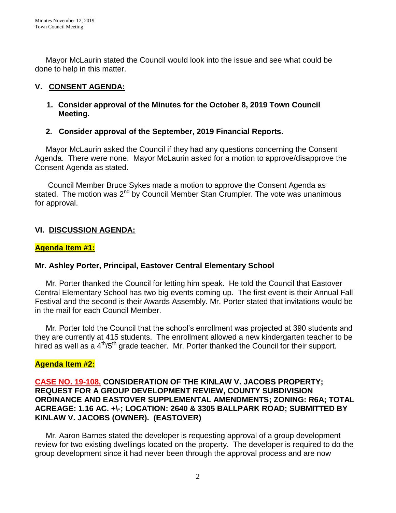Mayor McLaurin stated the Council would look into the issue and see what could be done to help in this matter.

## **V. CONSENT AGENDA:**

## **1. Consider approval of the Minutes for the October 8, 2019 Town Council Meeting.**

## **2. Consider approval of the September, 2019 Financial Reports.**

 Mayor McLaurin asked the Council if they had any questions concerning the Consent Agenda. There were none. Mayor McLaurin asked for a motion to approve/disapprove the Consent Agenda as stated.

 Council Member Bruce Sykes made a motion to approve the Consent Agenda as stated. The motion was  $2^{nd}$  by Council Member Stan Crumpler. The vote was unanimous for approval.

# **VI. DISCUSSION AGENDA:**

## **Agenda Item #1:**

## **Mr. Ashley Porter, Principal, Eastover Central Elementary School**

Mr. Porter thanked the Council for letting him speak. He told the Council that Eastover Central Elementary School has two big events coming up. The first event is their Annual Fall Festival and the second is their Awards Assembly. Mr. Porter stated that invitations would be in the mail for each Council Member.

 Mr. Porter told the Council that the school's enrollment was projected at 390 students and they are currently at 415 students. The enrollment allowed a new kindergarten teacher to be hired as well as a  $4<sup>th</sup>/5<sup>th</sup>$  grade teacher. Mr. Porter thanked the Council for their support.

## **Agenda Item #2:**

### **CASE NO. 19-108. CONSIDERATION OF THE KINLAW V. JACOBS PROPERTY; REQUEST FOR A GROUP DEVELOPMENT REVIEW, COUNTY SUBDIVISION ORDINANCE AND EASTOVER SUPPLEMENTAL AMENDMENTS; ZONING: R6A; TOTAL ACREAGE: 1.16 AC. +\-; LOCATION: 2640 & 3305 BALLPARK ROAD; SUBMITTED BY KINLAW V. JACOBS (OWNER). (EASTOVER)**

Mr. Aaron Barnes stated the developer is requesting approval of a group development review for two existing dwellings located on the property. The developer is required to do the group development since it had never been through the approval process and are now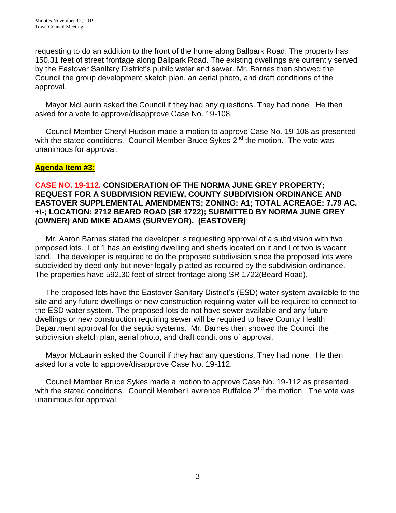requesting to do an addition to the front of the home along Ballpark Road. The property has 150.31 feet of street frontage along Ballpark Road. The existing dwellings are currently served by the Eastover Sanitary District's public water and sewer. Mr. Barnes then showed the Council the group development sketch plan, an aerial photo, and draft conditions of the approval.

 Mayor McLaurin asked the Council if they had any questions. They had none. He then asked for a vote to approve/disapprove Case No. 19-108.

 Council Member Cheryl Hudson made a motion to approve Case No. 19-108 as presented with the stated conditions. Council Member Bruce Sykes 2<sup>nd</sup> the motion. The vote was unanimous for approval.

## **Agenda Item #3:**

### **CASE NO. 19-112. CONSIDERATION OF THE NORMA JUNE GREY PROPERTY; REQUEST FOR A SUBDIVISION REVIEW, COUNTY SUBDIVISION ORDINANCE AND EASTOVER SUPPLEMENTAL AMENDMENTS; ZONING: A1; TOTAL ACREAGE: 7.79 AC. +\-; LOCATION: 2712 BEARD ROAD (SR 1722); SUBMITTED BY NORMA JUNE GREY (OWNER) AND MIKE ADAMS (SURVEYOR). (EASTOVER)**

Mr. Aaron Barnes stated the developer is requesting approval of a subdivision with two proposed lots. Lot 1 has an existing dwelling and sheds located on it and Lot two is vacant land. The developer is required to do the proposed subdivision since the proposed lots were subdivided by deed only but never legally platted as required by the subdivision ordinance. The properties have 592.30 feet of street frontage along SR 1722(Beard Road).

 The proposed lots have the Eastover Sanitary District's (ESD) water system available to the site and any future dwellings or new construction requiring water will be required to connect to the ESD water system. The proposed lots do not have sewer available and any future dwellings or new construction requiring sewer will be required to have County Health Department approval for the septic systems. Mr. Barnes then showed the Council the subdivision sketch plan, aerial photo, and draft conditions of approval.

 Mayor McLaurin asked the Council if they had any questions. They had none. He then asked for a vote to approve/disapprove Case No. 19-112.

 Council Member Bruce Sykes made a motion to approve Case No. 19-112 as presented with the stated conditions. Council Member Lawrence Buffaloe 2<sup>nd</sup> the motion. The vote was unanimous for approval.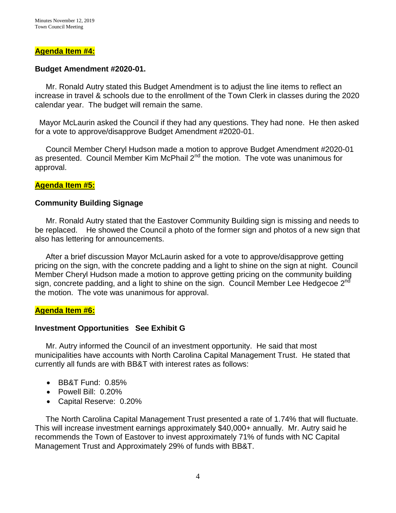#### **Agenda Item #4:**

#### **Budget Amendment #2020-01.**

Mr. Ronald Autry stated this Budget Amendment is to adjust the line items to reflect an increase in travel & schools due to the enrollment of the Town Clerk in classes during the 2020 calendar year. The budget will remain the same.

 Mayor McLaurin asked the Council if they had any questions. They had none. He then asked for a vote to approve/disapprove Budget Amendment #2020-01.

 Council Member Cheryl Hudson made a motion to approve Budget Amendment #2020-01 as presented. Council Member Kim McPhail  $2^{nd}$  the motion. The vote was unanimous for approval.

#### **Agenda Item #5:**

#### **Community Building Signage**

 Mr. Ronald Autry stated that the Eastover Community Building sign is missing and needs to be replaced. He showed the Council a photo of the former sign and photos of a new sign that also has lettering for announcements.

 After a brief discussion Mayor McLaurin asked for a vote to approve/disapprove getting pricing on the sign, with the concrete padding and a light to shine on the sign at night. Council Member Cheryl Hudson made a motion to approve getting pricing on the community building sign, concrete padding, and a light to shine on the sign. Council Member Lee Hedgecoe  $2^{nd}$ the motion. The vote was unanimous for approval.

### **Agenda Item #6:**

### **Investment Opportunities See Exhibit G**

Mr. Autry informed the Council of an investment opportunity. He said that most municipalities have accounts with North Carolina Capital Management Trust. He stated that currently all funds are with BB&T with interest rates as follows:

- BB&T Fund: 0.85%
- Powell Bill: 0.20%
- Capital Reserve: 0.20%

 The North Carolina Capital Management Trust presented a rate of 1.74% that will fluctuate. This will increase investment earnings approximately \$40,000+ annually. Mr. Autry said he recommends the Town of Eastover to invest approximately 71% of funds with NC Capital Management Trust and Approximately 29% of funds with BB&T.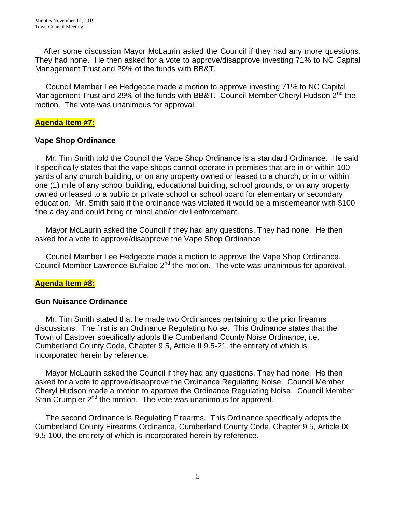After some discussion Mayor McLaurin asked the Council if they had any more questions. They had none. He then asked for a vote to approve/disapprove investing 71% to NC Capital Management Trust and 29% of the funds with BB&T.

 Council Member Lee Hedgecoe made a motion to approve investing 71% to NC Capital Management Trust and 29% of the funds with BB&T. Council Member Cheryl Hudson 2<sup>nd</sup> the motion. The vote was unanimous for approval.

### **Agenda Item #7:**

## **Vape Shop Ordinance**

 Mr. Tim Smith told the Council the Vape Shop Ordinance is a standard Ordinance. He said it specifically states that the vape shops cannot operate in premises that are in or within 100 yards of any church building, or on any property owned or leased to a church, or in or within one (1) mile of any school building, educational building, school grounds, or on any property owned or leased to a public or private school or school board for elementary or secondary education. Mr. Smith said if the ordinance was violated it would be a misdemeanor with \$100 fine a day and could bring criminal and/or civil enforcement.

 Mayor McLaurin asked the Council if they had any questions. They had none. He then asked for a vote to approve/disapprove the Vape Shop Ordinance

 Council Member Lee Hedgecoe made a motion to approve the Vape Shop Ordinance. Council Member Lawrence Buffaloe 2<sup>nd</sup> the motion. The vote was unanimous for approval.

## **Agenda Item #8:**

### **Gun Nuisance Ordinance**

 Mr. Tim Smith stated that he made two Ordinances pertaining to the prior firearms discussions. The first is an Ordinance Regulating Noise. This Ordinance states that the Town of Eastover specifically adopts the Cumberland County Noise Ordinance, i.e. Cumberland County Code, Chapter 9.5, Article II 9.5-21, the entirety of which is incorporated herein by reference.

 Mayor McLaurin asked the Council if they had any questions. They had none. He then asked for a vote to approve/disapprove the Ordinance Regulating Noise. Council Member Cheryl Hudson made a motion to approve the Ordinance Regulating Noise. Council Member Stan Crumpler 2<sup>nd</sup> the motion. The vote was unanimous for approval.

 The second Ordinance is Regulating Firearms. This Ordinance specifically adopts the Cumberland County Firearms Ordinance, Cumberland County Code, Chapter 9.5, Article IX 9.5-100, the entirety of which is incorporated herein by reference.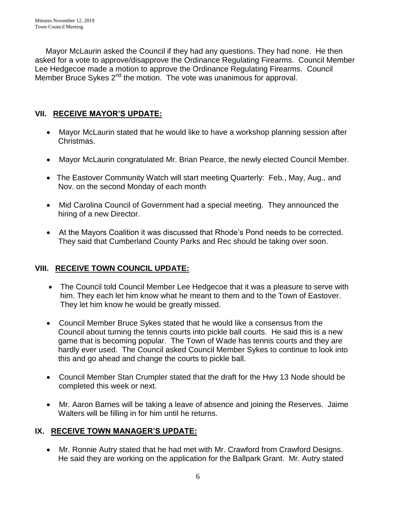Mayor McLaurin asked the Council if they had any questions. They had none. He then asked for a vote to approve/disapprove the Ordinance Regulating Firearms. Council Member Lee Hedgecoe made a motion to approve the Ordinance Regulating Firearms. Council Member Bruce Sykes 2<sup>nd</sup> the motion. The vote was unanimous for approval.

# **VII. RECEIVE MAYOR'S UPDATE:**

- Mayor McLaurin stated that he would like to have a workshop planning session after Christmas.
- Mayor McLaurin congratulated Mr. Brian Pearce, the newly elected Council Member.
- The Eastover Community Watch will start meeting Quarterly: Feb., May, Aug., and Nov. on the second Monday of each month
- Mid Carolina Council of Government had a special meeting. They announced the hiring of a new Director.
- At the Mayors Coalition it was discussed that Rhode's Pond needs to be corrected. They said that Cumberland County Parks and Rec should be taking over soon.

# **VIII. RECEIVE TOWN COUNCIL UPDATE:**

- The Council told Council Member Lee Hedgecoe that it was a pleasure to serve with him. They each let him know what he meant to them and to the Town of Eastover. They let him know he would be greatly missed.
- Council Member Bruce Sykes stated that he would like a consensus from the Council about turning the tennis courts into pickle ball courts. He said this is a new game that is becoming popular. The Town of Wade has tennis courts and they are hardly ever used. The Council asked Council Member Sykes to continue to look into this and go ahead and change the courts to pickle ball.
- Council Member Stan Crumpler stated that the draft for the Hwy 13 Node should be completed this week or next.
- Mr. Aaron Barnes will be taking a leave of absence and joining the Reserves. Jaime Walters will be filling in for him until he returns.

## **IX. RECEIVE TOWN MANAGER'S UPDATE:**

 Mr. Ronnie Autry stated that he had met with Mr. Crawford from Crawford Designs. He said they are working on the application for the Ballpark Grant. Mr. Autry stated